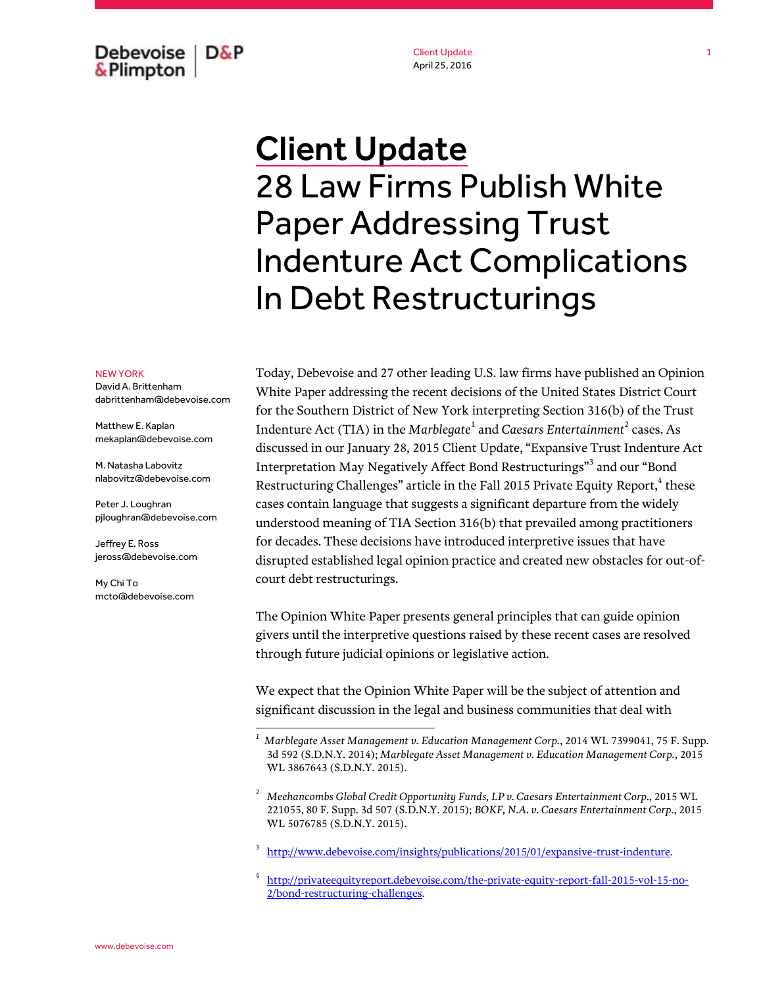Debevoise  $D\&P$ & Plimpton

Client Update April 25, 2016

## Client Update 28 Law Firms Publish White Paper Addressing Trust Indenture Act Complications In Debt Restructurings

## NEW YORK

David A. Brittenham dabrittenham@debevoise.com

Matthew E. Kaplan mekaplan@debevoise.com

M. Natasha Labovitz nlabovitz@debevoise.com

Peter J. Loughran pjloughran@debevoise.com

Jeffrey E. Ross jeross@debevoise.com

My Chi To mcto@debevoise.com

 $\overline{a}$ 

Today, Debevoise and 27 other leading U.S. law firms have published an Opinion White Paper addressing the recent decisions of the United States District Court for the Southern District of New York interpreting Section 316(b) of the Trust Indenture Act (TIA) in the *Marblegate*<sup>1</sup> and *Caesars Entertainment*<sup>2</sup> cases. As discussed in our January 28, 2015 Client Update, "Expansive Trust Indenture Act Interpretation May Negatively Affect Bond Restructurings"<sup>3</sup> and our "Bond Restructuring Challenges" article in the Fall 2015 Private Equity Report,<sup>4</sup> these cases contain language that suggests a significant departure from the widely understood meaning of TIA Section 316(b) that prevailed among practitioners for decades. These decisions have introduced interpretive issues that have disrupted established legal opinion practice and created new obstacles for out-ofcourt debt restructurings.

The Opinion White Paper presents general principles that can guide opinion givers until the interpretive questions raised by these recent cases are resolved through future judicial opinions or legislative action.

We expect that the Opinion White Paper will be the subject of attention and significant discussion in the legal and business communities that deal with

3 [http://www.debevoise.com/insights/publications/2015/01/expansive-trust-indenture.](http://www.debevoise.com/insights/publications/2015/01/expansive-trust-indenture)

4 [http://privateequityreport.debevoise.com/the-private-equity-report-fall-2015-vol-15-no-](http://privateequityreport.debevoise.com/the-private-equity-report-fall-2015-vol-15-no-2/bond-restructuring-challenges)[2/bond-restructuring-challenges.](http://privateequityreport.debevoise.com/the-private-equity-report-fall-2015-vol-15-no-2/bond-restructuring-challenges)

*<sup>1</sup> Marblegate Asset Management v. Education Management Corp.*, 2014 WL 7399041, 75 F. Supp. 3d 592 (S.D.N.Y. 2014); *Marblegate Asset Management v. Education Management Corp.*, 2015 WL 3867643 (S.D.N.Y. 2015).

<sup>2</sup> *Meehancombs Global Credit Opportunity Funds, LP v. Caesars Entertainment Corp.*, 2015 WL 221055, 80 F. Supp. 3d 507 (S.D.N.Y. 2015); *BOKF, N.A. v. Caesars Entertainment Corp.*, 2015 WL 5076785 (S.D.N.Y. 2015).